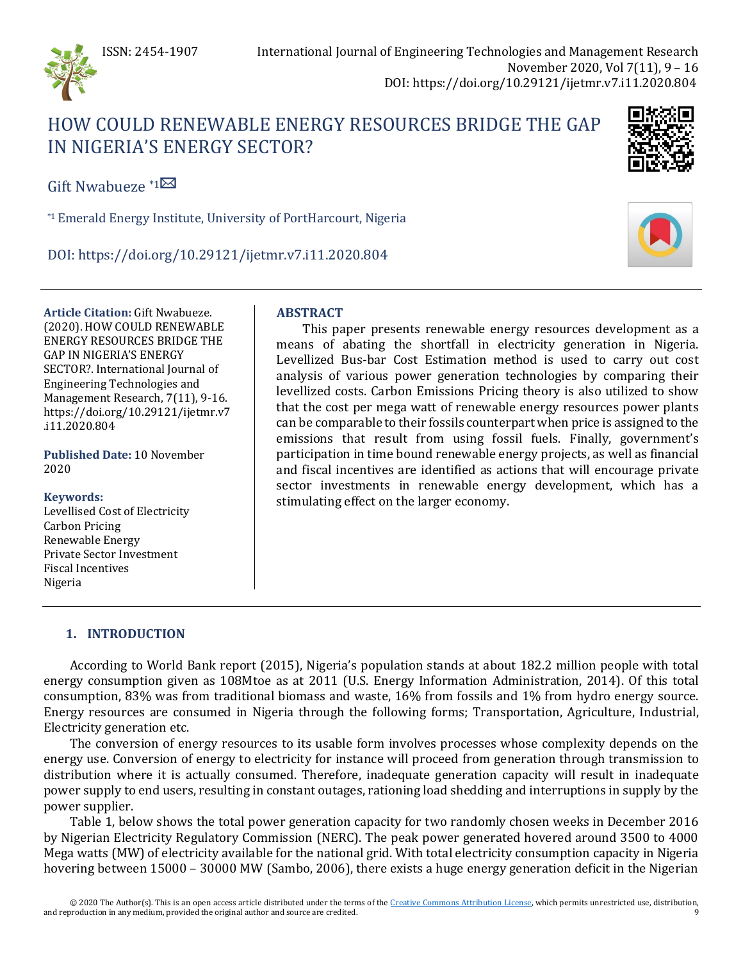

# HOW COULD RENEWABLE ENERGY RESOURCES BRIDGE THE GAP IN NIGERIA'S ENERGY SECTOR?



Gift Nwabueze  $*1\overline{\boxtimes}$  $*1\overline{\boxtimes}$  $*1\overline{\boxtimes}$ 

\*1Emerald Energy Institute, University of PortHarcourt, Nigeria

DOI: https://doi.org/10.29121/ijetmr.v7.i11.2020.804

**Article Citation:** Gift Nwabueze. (2020). HOW COULD RENEWABLE ENERGY RESOURCES BRIDGE THE GAP IN NIGERIA'S ENERGY SECTOR?. International Journal of Engineering Technologies and Management Research, 7(11), 9-16. https://doi.org/10.29121/ijetmr.v7 .i11.2020.804

**Published Date:** 10 November 2020

## **Keywords:**

Levellised Cost of Electricity Carbon Pricing Renewable Energy Private Sector Investment Fiscal Incentives Nigeria

# **ABSTRACT**

This paper presents renewable energy resources development as a means of abating the shortfall in electricity generation in Nigeria. Levellized Bus-bar Cost Estimation method is used to carry out cost analysis of various power generation technologies by comparing their levellized costs. Carbon Emissions Pricing theory is also utilized to show that the cost per mega watt of renewable energy resources power plants can be comparable to their fossils counterpart when price is assigned to the emissions that result from using fossil fuels. Finally, government's participation in time bound renewable energy projects, as well as financial and fiscal incentives are identified as actions that will encourage private sector investments in renewable energy development, which has a stimulating effect on the larger economy.

# **1. INTRODUCTION**

According to World Bank report (2015), Nigeria's population stands at about 182.2 million people with total energy consumption given as 108Mtoe as at 2011 (U.S. Energy Information Administration, 2014). Of this total consumption, 83% was from traditional biomass and waste, 16% from fossils and 1% from hydro energy source. Energy resources are consumed in Nigeria through the following forms; Transportation, Agriculture, Industrial, Electricity generation etc.

The conversion of energy resources to its usable form involves processes whose complexity depends on the energy use. Conversion of energy to electricity for instance will proceed from generation through transmission to distribution where it is actually consumed. Therefore, inadequate generation capacity will result in inadequate power supply to end users, resulting in constant outages, rationing load shedding and interruptions in supply by the power supplier.

Table 1, below shows the total power generation capacity for two randomly chosen weeks in December 2016 by Nigerian Electricity Regulatory Commission (NERC). The peak power generated hovered around 3500 to 4000 Mega watts (MW) of electricity available for the national grid. With total electricity consumption capacity in Nigeria hovering between 15000 – 30000 MW (Sambo, 2006), there exists a huge energy generation deficit in the Nigerian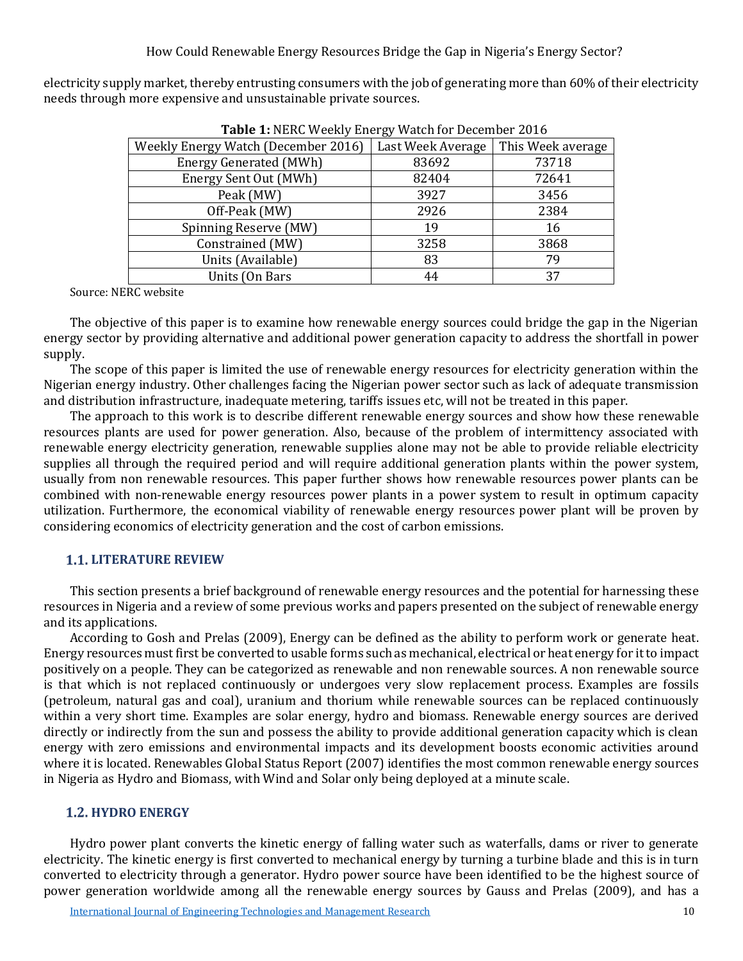electricity supply market, thereby entrusting consumers with the job of generating more than 60% of their electricity needs through more expensive and unsustainable private sources.

| $\frac{1}{2}$                       |                   |                   |  |  |
|-------------------------------------|-------------------|-------------------|--|--|
| Weekly Energy Watch (December 2016) | Last Week Average | This Week average |  |  |
| <b>Energy Generated (MWh)</b>       | 83692             | 73718             |  |  |
| Energy Sent Out (MWh)               | 82404             | 72641             |  |  |
| Peak (MW)                           | 3927              | 3456              |  |  |
| Off-Peak (MW)                       | 2926              | 2384              |  |  |
| Spinning Reserve (MW)               | 19                | 16                |  |  |
| Constrained (MW)                    | 3258              | 3868              |  |  |
| Units (Available)                   | 83                | 79                |  |  |
| Units (On Bars                      | 44                | 37                |  |  |

**Table 1:** NERC Weekly Energy Watch for December 2016

Source: NERC website

The objective of this paper is to examine how renewable energy sources could bridge the gap in the Nigerian energy sector by providing alternative and additional power generation capacity to address the shortfall in power supply.

The scope of this paper is limited the use of renewable energy resources for electricity generation within the Nigerian energy industry. Other challenges facing the Nigerian power sector such as lack of adequate transmission and distribution infrastructure, inadequate metering, tariffs issues etc, will not be treated in this paper.

The approach to this work is to describe different renewable energy sources and show how these renewable resources plants are used for power generation. Also, because of the problem of intermittency associated with renewable energy electricity generation, renewable supplies alone may not be able to provide reliable electricity supplies all through the required period and will require additional generation plants within the power system, usually from non renewable resources. This paper further shows how renewable resources power plants can be combined with non-renewable energy resources power plants in a power system to result in optimum capacity utilization. Furthermore, the economical viability of renewable energy resources power plant will be proven by considering economics of electricity generation and the cost of carbon emissions.

## **1.1. LITERATURE REVIEW**

This section presents a brief background of renewable energy resources and the potential for harnessing these resources in Nigeria and a review of some previous works and papers presented on the subject of renewable energy and its applications.

According to Gosh and Prelas (2009), Energy can be defined as the ability to perform work or generate heat. Energy resources must first be converted to usable forms such as mechanical, electrical or heat energy for it to impact positively on a people. They can be categorized as renewable and non renewable sources. A non renewable source is that which is not replaced continuously or undergoes very slow replacement process. Examples are fossils (petroleum, natural gas and coal), uranium and thorium while renewable sources can be replaced continuously within a very short time. Examples are solar energy, hydro and biomass. Renewable energy sources are derived directly or indirectly from the sun and possess the ability to provide additional generation capacity which is clean energy with zero emissions and environmental impacts and its development boosts economic activities around where it is located. Renewables Global Status Report (2007) identifies the most common renewable energy sources in Nigeria as Hydro and Biomass, with Wind and Solar only being deployed at a minute scale.

# **HYDRO ENERGY**

Hydro power plant converts the kinetic energy of falling water such as waterfalls, dams or river to generate electricity. The kinetic energy is first converted to mechanical energy by turning a turbine blade and this is in turn converted to electricity through a generator. Hydro power source have been identified to be the highest source of power generation worldwide among all the renewable energy sources by Gauss and Prelas (2009), and has a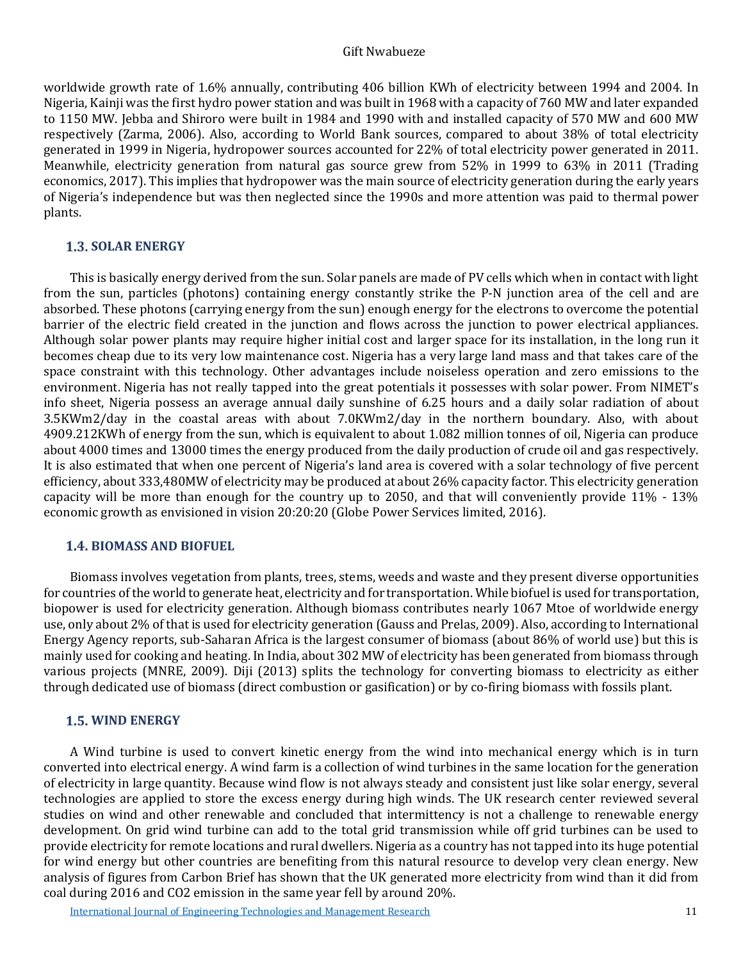#### Gift Nwabueze

worldwide growth rate of 1.6% annually, contributing 406 billion KWh of electricity between 1994 and 2004. In Nigeria, Kainji was the first hydro power station and was built in 1968 with a capacity of 760 MW and later expanded to 1150 MW. Jebba and Shiroro were built in 1984 and 1990 with and installed capacity of 570 MW and 600 MW respectively (Zarma, 2006). Also, according to World Bank sources, compared to about 38% of total electricity generated in 1999 in Nigeria, hydropower sources accounted for 22% of total electricity power generated in 2011. Meanwhile, electricity generation from natural gas source grew from 52% in 1999 to 63% in 2011 (Trading economics, 2017). This implies that hydropower was the main source of electricity generation during the early years of Nigeria's independence but was then neglected since the 1990s and more attention was paid to thermal power plants.

#### **1.3. SOLAR ENERGY**

This is basically energy derived from the sun. Solar panels are made of PV cells which when in contact with light from the sun, particles (photons) containing energy constantly strike the P-N junction area of the cell and are absorbed. These photons (carrying energy from the sun) enough energy for the electrons to overcome the potential barrier of the electric field created in the junction and flows across the junction to power electrical appliances. Although solar power plants may require higher initial cost and larger space for its installation, in the long run it becomes cheap due to its very low maintenance cost. Nigeria has a very large land mass and that takes care of the space constraint with this technology. Other advantages include noiseless operation and zero emissions to the environment. Nigeria has not really tapped into the great potentials it possesses with solar power. From NIMET's info sheet, Nigeria possess an average annual daily sunshine of 6.25 hours and a daily solar radiation of about 3.5KWm2/day in the coastal areas with about 7.0KWm2/day in the northern boundary. Also, with about 4909.212KWh of energy from the sun, which is equivalent to about 1.082 million tonnes of oil, Nigeria can produce about 4000 times and 13000 times the energy produced from the daily production of crude oil and gas respectively. It is also estimated that when one percent of Nigeria's land area is covered with a solar technology of five percent efficiency, about 333,480MW of electricity may be produced at about 26% capacity factor. This electricity generation capacity will be more than enough for the country up to 2050, and that will conveniently provide 11% - 13% economic growth as envisioned in vision 20:20:20 (Globe Power Services limited, 2016).

#### **BIOMASS AND BIOFUEL**

Biomass involves vegetation from plants, trees, stems, weeds and waste and they present diverse opportunities for countries of the world to generate heat, electricity and for transportation. While biofuel is used for transportation, biopower is used for electricity generation. Although biomass contributes nearly 1067 Mtoe of worldwide energy use, only about 2% of that is used for electricity generation (Gauss and Prelas, 2009). Also, according to International Energy Agency reports, sub-Saharan Africa is the largest consumer of biomass (about 86% of world use) but this is mainly used for cooking and heating. In India, about 302 MW of electricity has been generated from biomass through various projects (MNRE, 2009). Diji (2013) splits the technology for converting biomass to electricity as either through dedicated use of biomass (direct combustion or gasification) or by co-firing biomass with fossils plant.

## **WIND ENERGY**

A Wind turbine is used to convert kinetic energy from the wind into mechanical energy which is in turn converted into electrical energy. A wind farm is a collection of wind turbines in the same location for the generation of electricity in large quantity. Because wind flow is not always steady and consistent just like solar energy, several technologies are applied to store the excess energy during high winds. The UK research center reviewed several studies on wind and other renewable and concluded that intermittency is not a challenge to renewable energy development. On grid wind turbine can add to the total grid transmission while off grid turbines can be used to provide electricity for remote locations and rural dwellers. Nigeria as a country has not tapped into its huge potential for wind energy but other countries are benefiting from this natural resource to develop very clean energy. New analysis of figures from Carbon Brief has shown that the UK generated more electricity from wind than it did from coal during 2016 and CO2 emission in the same year fell by around 20%.

[International Journal of Engineering Technologies and Management Research](https://www.granthaalayahpublication.org/ijetmr-ojms/index.php/ijetmr) 11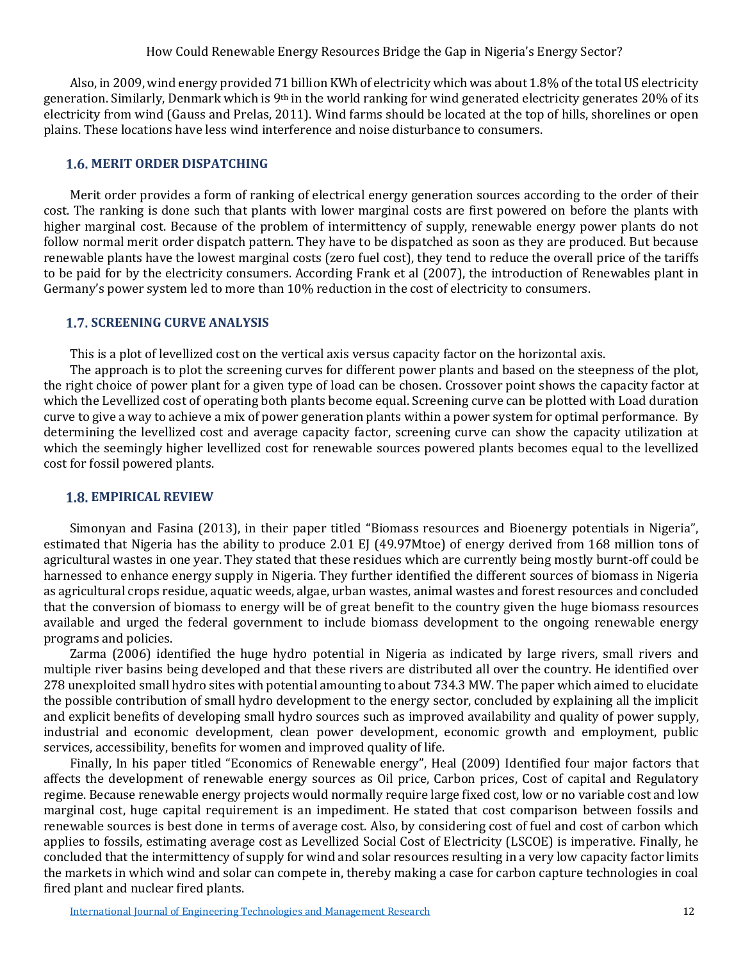How Could Renewable Energy Resources Bridge the Gap in Nigeria's Energy Sector?

Also, in 2009, wind energy provided 71 billion KWh of electricity which was about 1.8% of the total US electricity generation. Similarly, Denmark which is 9th in the world ranking for wind generated electricity generates 20% of its electricity from wind (Gauss and Prelas, 2011). Wind farms should be located at the top of hills, shorelines or open plains. These locations have less wind interference and noise disturbance to consumers.

## *MERIT ORDER DISPATCHING*

Merit order provides a form of ranking of electrical energy generation sources according to the order of their cost. The ranking is done such that plants with lower marginal costs are first powered on before the plants with higher marginal cost. Because of the problem of intermittency of supply, renewable energy power plants do not follow normal merit order dispatch pattern. They have to be dispatched as soon as they are produced. But because renewable plants have the lowest marginal costs (zero fuel cost), they tend to reduce the overall price of the tariffs to be paid for by the electricity consumers. According Frank et al (2007), the introduction of Renewables plant in Germany's power system led to more than 10% reduction in the cost of electricity to consumers.

## **1.7. SCREENING CURVE ANALYSIS**

This is a plot of levellized cost on the vertical axis versus capacity factor on the horizontal axis.

The approach is to plot the screening curves for different power plants and based on the steepness of the plot, the right choice of power plant for a given type of load can be chosen. Crossover point shows the capacity factor at which the Levellized cost of operating both plants become equal. Screening curve can be plotted with Load duration curve to give a way to achieve a mix of power generation plants within a power system for optimal performance. By determining the levellized cost and average capacity factor, screening curve can show the capacity utilization at which the seemingly higher levellized cost for renewable sources powered plants becomes equal to the levellized cost for fossil powered plants.

## **EMPIRICAL REVIEW**

Simonyan and Fasina (2013), in their paper titled "Biomass resources and Bioenergy potentials in Nigeria", estimated that Nigeria has the ability to produce 2.01 EJ (49.97Mtoe) of energy derived from 168 million tons of agricultural wastes in one year. They stated that these residues which are currently being mostly burnt-off could be harnessed to enhance energy supply in Nigeria. They further identified the different sources of biomass in Nigeria as agricultural crops residue, aquatic weeds, algae, urban wastes, animal wastes and forest resources and concluded that the conversion of biomass to energy will be of great benefit to the country given the huge biomass resources available and urged the federal government to include biomass development to the ongoing renewable energy programs and policies.

Zarma (2006) identified the huge hydro potential in Nigeria as indicated by large rivers, small rivers and multiple river basins being developed and that these rivers are distributed all over the country. He identified over 278 unexploited small hydro sites with potential amounting to about 734.3 MW. The paper which aimed to elucidate the possible contribution of small hydro development to the energy sector, concluded by explaining all the implicit and explicit benefits of developing small hydro sources such as improved availability and quality of power supply, industrial and economic development, clean power development, economic growth and employment, public services, accessibility, benefits for women and improved quality of life.

Finally, In his paper titled "Economics of Renewable energy", Heal (2009) Identified four major factors that affects the development of renewable energy sources as Oil price, Carbon prices, Cost of capital and Regulatory regime. Because renewable energy projects would normally require large fixed cost, low or no variable cost and low marginal cost, huge capital requirement is an impediment. He stated that cost comparison between fossils and renewable sources is best done in terms of average cost. Also, by considering cost of fuel and cost of carbon which applies to fossils, estimating average cost as Levellized Social Cost of Electricity (LSCOE) is imperative. Finally, he concluded that the intermittency of supply for wind and solar resources resulting in a very low capacity factor limits the markets in which wind and solar can compete in, thereby making a case for carbon capture technologies in coal fired plant and nuclear fired plants.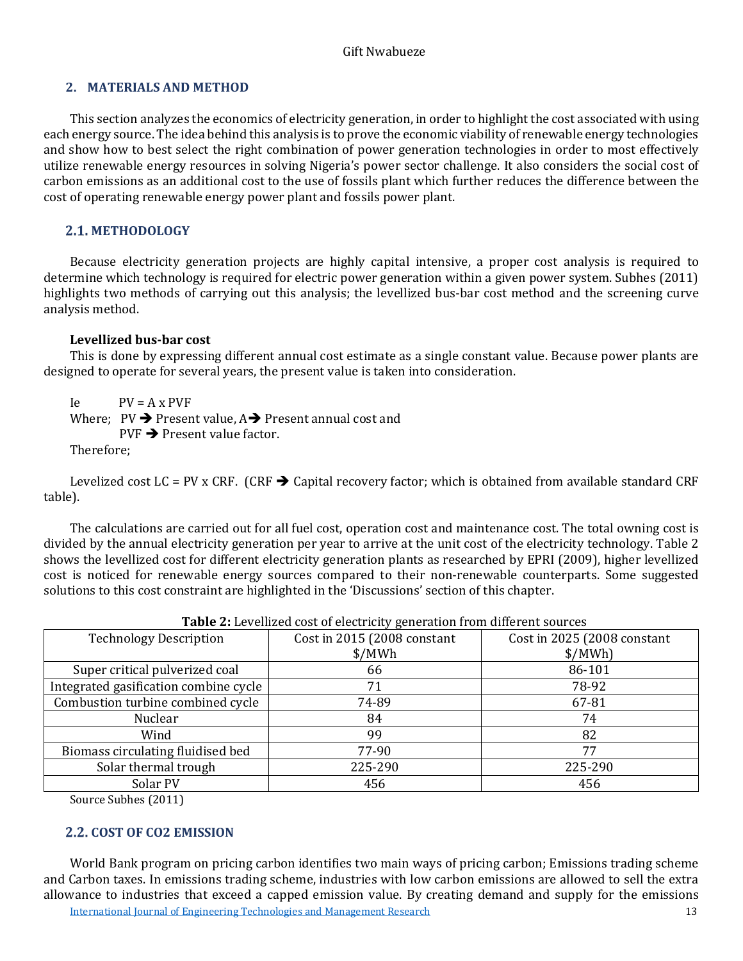# **2. MATERIALS AND METHOD**

This section analyzes the economics of electricity generation, in order to highlight the cost associated with using each energy source. The idea behind this analysis is to prove the economic viability of renewable energy technologies and show how to best select the right combination of power generation technologies in order to most effectively utilize renewable energy resources in solving Nigeria's power sector challenge. It also considers the social cost of carbon emissions as an additional cost to the use of fossils plant which further reduces the difference between the cost of operating renewable energy power plant and fossils power plant.

# **METHODOLOGY**

Because electricity generation projects are highly capital intensive, a proper cost analysis is required to determine which technology is required for electric power generation within a given power system. Subhes (2011) highlights two methods of carrying out this analysis; the levellized bus-bar cost method and the screening curve analysis method.

## **Levellized bus-bar cost**

This is done by expressing different annual cost estimate as a single constant value. Because power plants are designed to operate for several years, the present value is taken into consideration.

 $\text{Ie}$   $\text{PV} = \text{A} \times \text{PVF}$ 

Where;  $PV \rightarrow$  Present value,  $A \rightarrow$  Present annual cost and  $PVF \rightarrow Present value factor$ .

Therefore;

Levelized cost LC = PV x CRF. (CRF  $\rightarrow$  Capital recovery factor; which is obtained from available standard CRF table).

The calculations are carried out for all fuel cost, operation cost and maintenance cost. The total owning cost is divided by the annual electricity generation per year to arrive at the unit cost of the electricity technology. Table 2 shows the levellized cost for different electricity generation plants as researched by EPRI (2009), higher levellized cost is noticed for renewable energy sources compared to their non-renewable counterparts. Some suggested solutions to this cost constraint are highlighted in the 'Discussions' section of this chapter.

|                                       | $\frac{1}{2}$ and $\frac{1}{2}$ are $\frac{1}{2}$ and $\frac{1}{2}$ are $\frac{1}{2}$ and $\frac{1}{2}$ and $\frac{1}{2}$ and $\frac{1}{2}$ and $\frac{1}{2}$ are $\frac{1}{2}$ |                             |  |  |
|---------------------------------------|---------------------------------------------------------------------------------------------------------------------------------------------------------------------------------|-----------------------------|--|--|
| <b>Technology Description</b>         | Cost in 2015 (2008 constant                                                                                                                                                     | Cost in 2025 (2008 constant |  |  |
|                                       | MWh                                                                                                                                                                             | \$/MWh                      |  |  |
| Super critical pulverized coal        | 66                                                                                                                                                                              | 86-101                      |  |  |
| Integrated gasification combine cycle | 71                                                                                                                                                                              | 78-92                       |  |  |
| Combustion turbine combined cycle     | 74-89                                                                                                                                                                           | 67-81                       |  |  |
| Nuclear                               | 84                                                                                                                                                                              | 74                          |  |  |
| Wind                                  | 99                                                                                                                                                                              | 82                          |  |  |
| Biomass circulating fluidised bed     | 77-90                                                                                                                                                                           | 77                          |  |  |
| Solar thermal trough                  | 225-290                                                                                                                                                                         | 225-290                     |  |  |
| Solar PV                              | 456                                                                                                                                                                             | 456                         |  |  |

**Table 2:** Levellized cost of electricity generation from different sources

Source Subhes (2011)

# **COST OF CO2 EMISSION**

[International Journal of Engineering Technologies and Management Research](https://www.granthaalayahpublication.org/ijetmr-ojms/index.php/ijetmr) 13 World Bank program on pricing carbon identifies two main ways of pricing carbon; Emissions trading scheme and Carbon taxes. In emissions trading scheme, industries with low carbon emissions are allowed to sell the extra allowance to industries that exceed a capped emission value. By creating demand and supply for the emissions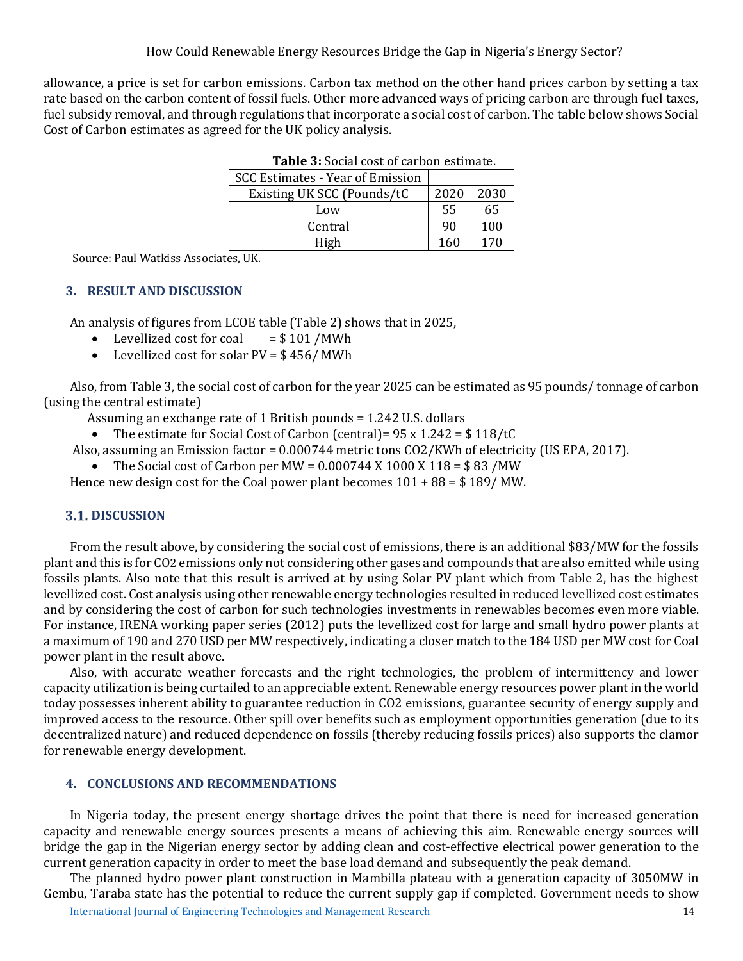allowance, a price is set for carbon emissions. Carbon tax method on the other hand prices carbon by setting a tax rate based on the carbon content of fossil fuels. Other more advanced ways of pricing carbon are through fuel taxes, fuel subsidy removal, and through regulations that incorporate a social cost of carbon. The table below shows Social Cost of Carbon estimates as agreed for the UK policy analysis.

| TUDIC DI DOCINI CODI OI CHI DOII CDIMINICI |      |      |  |  |
|--------------------------------------------|------|------|--|--|
| SCC Estimates - Year of Emission           |      |      |  |  |
| Existing UK SCC (Pounds/tC                 | 2020 | 2030 |  |  |
| Low                                        | 55   | 65   |  |  |
| Central                                    | 90   | 100  |  |  |
| High                                       | 160  | 170  |  |  |

**Table 3:** Social cost of carbon estimate.

Source: Paul Watkiss Associates, UK.

# **3. RESULT AND DISCUSSION**

An analysis of figures from LCOE table (Table 2) shows that in 2025,<br>
• Levellized cost for coal =  $$101 / MWh$ 

- Levellized cost for coal
- Levellized cost for solar PV = \$ 456/ MWh

Also, from Table 3, the social cost of carbon for the year 2025 can be estimated as 95 pounds/ tonnage of carbon (using the central estimate)

- Assuming an exchange rate of 1 British pounds = 1.242 U.S. dollars
- The estimate for Social Cost of Carbon (central) =  $95 \times 1.242 = $118/tC$
- Also, assuming an Emission factor = 0.000744 metric tons CO2/KWh of electricity (US EPA, 2017).
	- The Social cost of Carbon per MW =  $0.000744$  X 1000 X 118 = \$83 /MW

Hence new design cost for the Coal power plant becomes  $101 + 88 = $189/MW$ .

# **3.1. DISCUSSION**

From the result above, by considering the social cost of emissions, there is an additional \$83/MW for the fossils plant and this is for CO2 emissions only not considering other gases and compounds that are also emitted while using fossils plants. Also note that this result is arrived at by using Solar PV plant which from Table 2, has the highest levellized cost. Cost analysis using other renewable energy technologies resulted in reduced levellized cost estimates and by considering the cost of carbon for such technologies investments in renewables becomes even more viable. For instance, IRENA working paper series (2012) puts the levellized cost for large and small hydro power plants at a maximum of 190 and 270 USD per MW respectively, indicating a closer match to the 184 USD per MW cost for Coal power plant in the result above.

Also, with accurate weather forecasts and the right technologies, the problem of intermittency and lower capacity utilization is being curtailed to an appreciable extent. Renewable energy resources power plant in the world today possesses inherent ability to guarantee reduction in CO2 emissions, guarantee security of energy supply and improved access to the resource. Other spill over benefits such as employment opportunities generation (due to its decentralized nature) and reduced dependence on fossils (thereby reducing fossils prices) also supports the clamor for renewable energy development.

# **4. CONCLUSIONS AND RECOMMENDATIONS**

In Nigeria today, the present energy shortage drives the point that there is need for increased generation capacity and renewable energy sources presents a means of achieving this aim. Renewable energy sources will bridge the gap in the Nigerian energy sector by adding clean and cost-effective electrical power generation to the current generation capacity in order to meet the base load demand and subsequently the peak demand.

[International Journal of Engineering Technologies and Management Research](https://www.granthaalayahpublication.org/ijetmr-ojms/index.php/ijetmr) 14 The planned hydro power plant construction in Mambilla plateau with a generation capacity of 3050MW in Gembu, Taraba state has the potential to reduce the current supply gap if completed. Government needs to show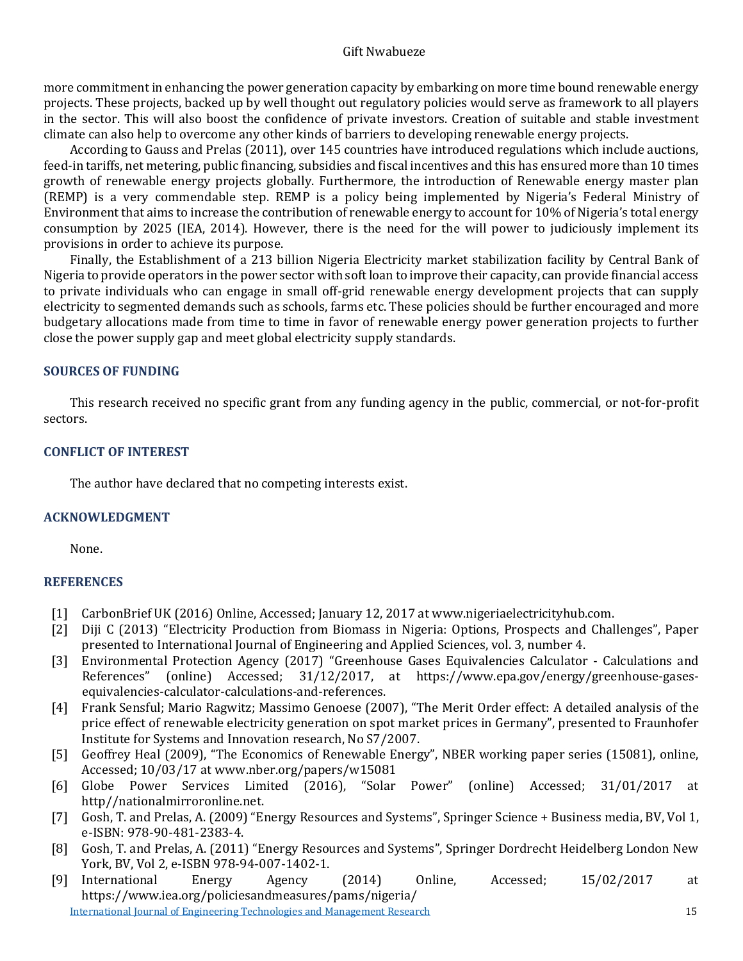#### Gift Nwabueze

more commitment in enhancing the power generation capacity by embarking on more time bound renewable energy projects. These projects, backed up by well thought out regulatory policies would serve as framework to all players in the sector. This will also boost the confidence of private investors. Creation of suitable and stable investment climate can also help to overcome any other kinds of barriers to developing renewable energy projects.

According to Gauss and Prelas (2011), over 145 countries have introduced regulations which include auctions, feed-in tariffs, net metering, public financing, subsidies and fiscal incentives and this has ensured more than 10 times growth of renewable energy projects globally. Furthermore, the introduction of Renewable energy master plan (REMP) is a very commendable step. REMP is a policy being implemented by Nigeria's Federal Ministry of Environment that aims to increase the contribution of renewable energy to account for 10% of Nigeria's total energy consumption by 2025 (IEA, 2014). However, there is the need for the will power to judiciously implement its provisions in order to achieve its purpose.

Finally, the Establishment of a 213 billion Nigeria Electricity market stabilization facility by Central Bank of Nigeria to provide operators in the power sector with soft loan to improve their capacity, can provide financial access to private individuals who can engage in small off-grid renewable energy development projects that can supply electricity to segmented demands such as schools, farms etc. These policies should be further encouraged and more budgetary allocations made from time to time in favor of renewable energy power generation projects to further close the power supply gap and meet global electricity supply standards.

#### **SOURCES OF FUNDING**

This research received no specific grant from any funding agency in the public, commercial, or not-for-profit sectors.

#### **CONFLICT OF INTEREST**

The author have declared that no competing interests exist.

## **ACKNOWLEDGMENT**

None.

## **REFERENCES**

- [1] CarbonBrief UK (2016) Online, Accessed; January 12, 2017 at www.nigeriaelectricityhub.com.<br>[2] Diji C (2013) "Electricity Production from Biomass in Nigeria: Options, Prospects and Chal
- [2] Diji C (2013) "Electricity Production from Biomass in Nigeria: Options, Prospects and Challenges", Paper presented to International Journal of Engineering and Applied Sciences, vol. 3, number 4.
- [3] Environmental Protection Agency (2017) "Greenhouse Gases Equivalencies Calculator Calculations and<br>References" (online) Accessed: 31/12/2017. at https://www.epa.gov/energy/greenhouse-gases-(online) Accessed; 31/12/2017, at https://www.epa.gov/energy/greenhouse-gasesequivalencies-calculator-calculations-and-references.
- [4] Frank Sensful; Mario Ragwitz; Massimo Genoese (2007), "The Merit Order effect: A detailed analysis of the price effect of renewable electricity generation on spot market prices in Germany", presented to Fraunhofer Institute for Systems and Innovation research, No S7/2007.
- [5] Geoffrey Heal (2009), "The Economics of Renewable Energy", NBER working paper series (15081), online, Accessed; 10/03/17 at www.nber.org/papers/w15081
- [6] Globe Power Services Limited (2016), "Solar Power" (online) Accessed; 31/01/2017 at http//nationalmirroronline.net.
- [7] Gosh, T. and Prelas, A. (2009) "Energy Resources and Systems", Springer Science + Business media, BV, Vol 1, e-ISBN: 978-90-481-2383-4.
- [8] Gosh, T. and Prelas, A. (2011) "Energy Resources and Systems", Springer Dordrecht Heidelberg London New York, BV, Vol 2, e-ISBN 978-94-007-1402-1.
- [International Journal of Engineering Technologies and Management Research](https://www.granthaalayahpublication.org/ijetmr-ojms/index.php/ijetmr) 15 [9] International Energy Agency (2014) Online, Accessed; 15/02/2017 at https://www.iea.org/policiesandmeasures/pams/nigeria/